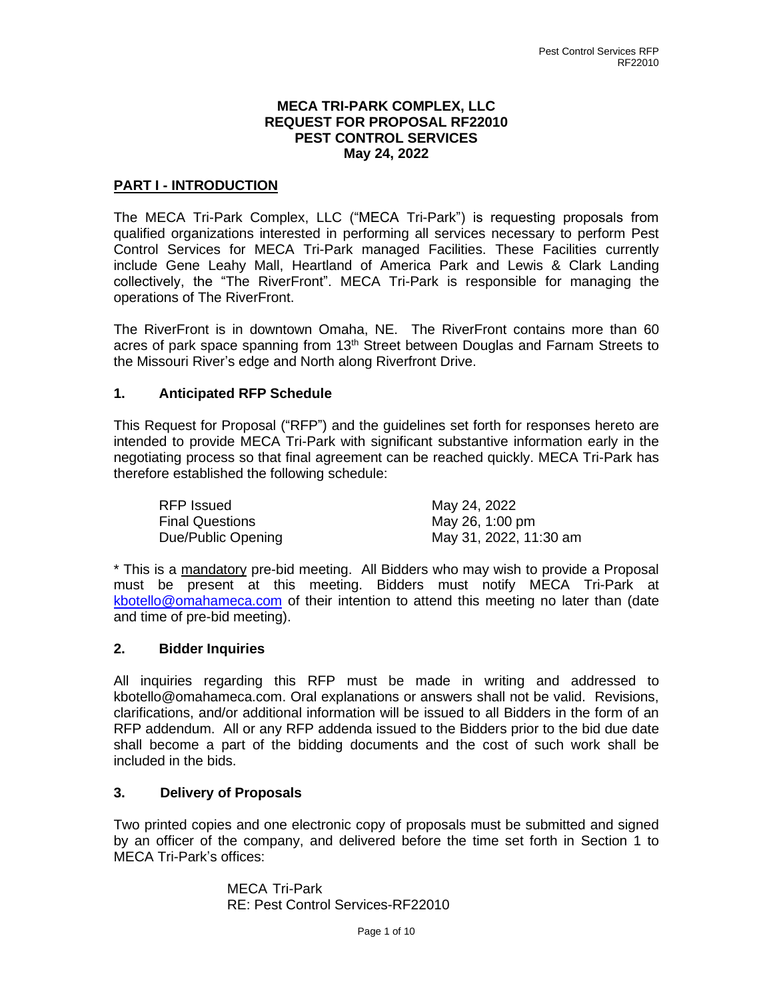### **MECA TRI-PARK COMPLEX, LLC REQUEST FOR PROPOSAL RF22010 PEST CONTROL SERVICES May 24, 2022**

### **PART I - INTRODUCTION**

The MECA Tri-Park Complex, LLC ("MECA Tri-Park") is requesting proposals from qualified organizations interested in performing all services necessary to perform Pest Control Services for MECA Tri-Park managed Facilities. These Facilities currently include Gene Leahy Mall, Heartland of America Park and Lewis & Clark Landing collectively, the "The RiverFront". MECA Tri-Park is responsible for managing the operations of The RiverFront.

The RiverFront is in downtown Omaha, NE. The RiverFront contains more than 60 acres of park space spanning from 13<sup>th</sup> Street between Douglas and Farnam Streets to the Missouri River's edge and North along Riverfront Drive.

### **1. Anticipated RFP Schedule**

This Request for Proposal ("RFP") and the guidelines set forth for responses hereto are intended to provide MECA Tri-Park with significant substantive information early in the negotiating process so that final agreement can be reached quickly. MECA Tri-Park has therefore established the following schedule:

| RFP Issued             | May 24, 2022           |
|------------------------|------------------------|
| <b>Final Questions</b> | May 26, 1:00 pm        |
| Due/Public Opening     | May 31, 2022, 11:30 am |

\* This is a mandatory pre-bid meeting. All Bidders who may wish to provide a Proposal must be present at this meeting. Bidders must notify MECA Tri-Park at [kbotello@omahameca.com](mailto:kbotello@omahameca.com) of their intention to attend this meeting no later than (date and time of pre-bid meeting).

### **2. Bidder Inquiries**

All inquiries regarding this RFP must be made in writing and addressed to kbotello@omahameca.com. Oral explanations or answers shall not be valid. Revisions, clarifications, and/or additional information will be issued to all Bidders in the form of an RFP addendum. All or any RFP addenda issued to the Bidders prior to the bid due date shall become a part of the bidding documents and the cost of such work shall be included in the bids.

## **3. Delivery of Proposals**

Two printed copies and one electronic copy of proposals must be submitted and signed by an officer of the company, and delivered before the time set forth in Section 1 to MECA Tri-Park's offices:

> MECA Tri-Park RE: Pest Control Services-RF22010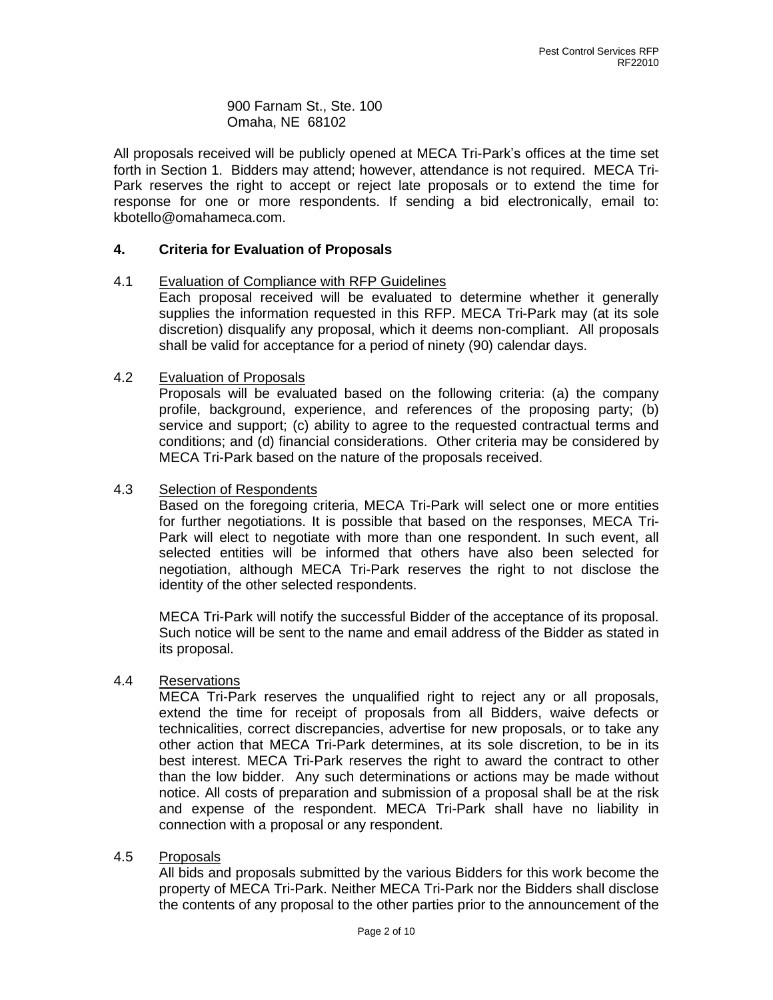900 Farnam St., Ste. 100 Omaha, NE 68102

All proposals received will be publicly opened at MECA Tri-Park's offices at the time set forth in Section 1. Bidders may attend; however, attendance is not required. MECA Tri-Park reserves the right to accept or reject late proposals or to extend the time for response for one or more respondents. If sending a bid electronically, email to: kbotello@omahameca.com.

### **4. Criteria for Evaluation of Proposals**

### 4.1 Evaluation of Compliance with RFP Guidelines

Each proposal received will be evaluated to determine whether it generally supplies the information requested in this RFP. MECA Tri-Park may (at its sole discretion) disqualify any proposal, which it deems non-compliant. All proposals shall be valid for acceptance for a period of ninety (90) calendar days.

### 4.2 Evaluation of Proposals

Proposals will be evaluated based on the following criteria: (a) the company profile, background, experience, and references of the proposing party; (b) service and support; (c) ability to agree to the requested contractual terms and conditions; and (d) financial considerations. Other criteria may be considered by MECA Tri-Park based on the nature of the proposals received.

### 4.3 Selection of Respondents

Based on the foregoing criteria, MECA Tri-Park will select one or more entities for further negotiations. It is possible that based on the responses, MECA Tri-Park will elect to negotiate with more than one respondent. In such event, all selected entities will be informed that others have also been selected for negotiation, although MECA Tri-Park reserves the right to not disclose the identity of the other selected respondents.

MECA Tri-Park will notify the successful Bidder of the acceptance of its proposal. Such notice will be sent to the name and email address of the Bidder as stated in its proposal.

### 4.4 Reservations

MECA Tri-Park reserves the unqualified right to reject any or all proposals, extend the time for receipt of proposals from all Bidders, waive defects or technicalities, correct discrepancies, advertise for new proposals, or to take any other action that MECA Tri-Park determines, at its sole discretion, to be in its best interest. MECA Tri-Park reserves the right to award the contract to other than the low bidder. Any such determinations or actions may be made without notice. All costs of preparation and submission of a proposal shall be at the risk and expense of the respondent. MECA Tri-Park shall have no liability in connection with a proposal or any respondent.

### 4.5 Proposals

All bids and proposals submitted by the various Bidders for this work become the property of MECA Tri-Park. Neither MECA Tri-Park nor the Bidders shall disclose the contents of any proposal to the other parties prior to the announcement of the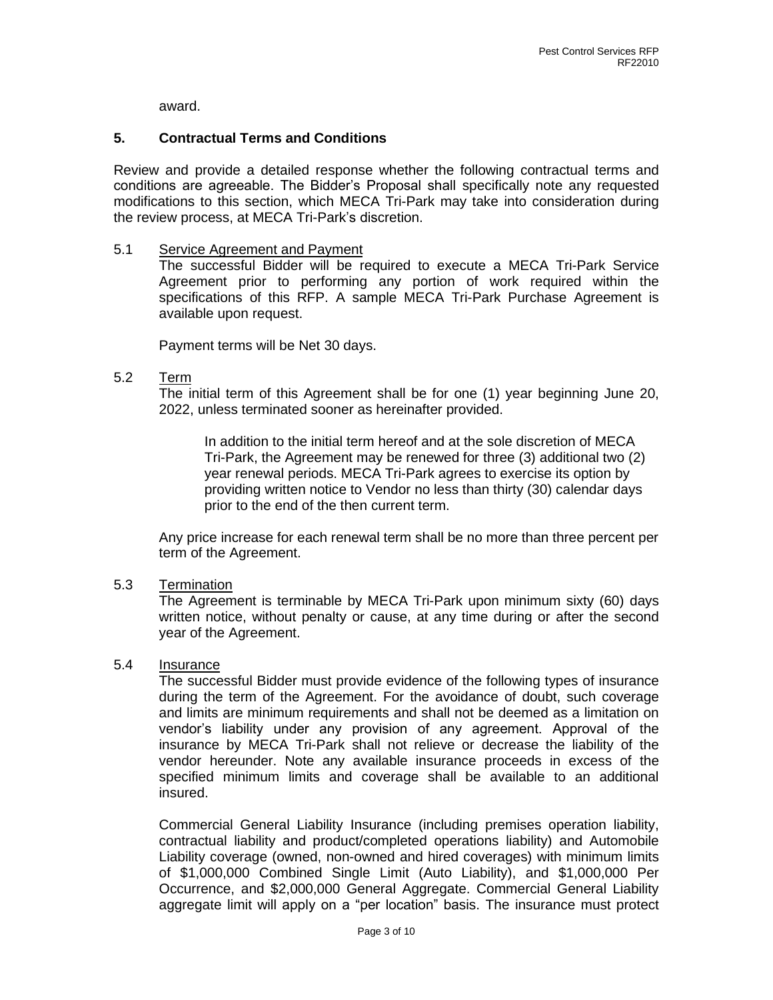award.

### **5. Contractual Terms and Conditions**

Review and provide a detailed response whether the following contractual terms and conditions are agreeable. The Bidder's Proposal shall specifically note any requested modifications to this section, which MECA Tri-Park may take into consideration during the review process, at MECA Tri-Park's discretion.

### 5.1 Service Agreement and Payment

The successful Bidder will be required to execute a MECA Tri-Park Service Agreement prior to performing any portion of work required within the specifications of this RFP. A sample MECA Tri-Park Purchase Agreement is available upon request.

Payment terms will be Net 30 days.

### 5.2 Term

The initial term of this Agreement shall be for one (1) year beginning June 20, 2022, unless terminated sooner as hereinafter provided.

In addition to the initial term hereof and at the sole discretion of MECA Tri-Park, the Agreement may be renewed for three (3) additional two (2) year renewal periods. MECA Tri-Park agrees to exercise its option by providing written notice to Vendor no less than thirty (30) calendar days prior to the end of the then current term.

Any price increase for each renewal term shall be no more than three percent per term of the Agreement.

### 5.3 Termination

The Agreement is terminable by MECA Tri-Park upon minimum sixty (60) days written notice, without penalty or cause, at any time during or after the second year of the Agreement.

### 5.4 Insurance

The successful Bidder must provide evidence of the following types of insurance during the term of the Agreement. For the avoidance of doubt, such coverage and limits are minimum requirements and shall not be deemed as a limitation on vendor's liability under any provision of any agreement. Approval of the insurance by MECA Tri-Park shall not relieve or decrease the liability of the vendor hereunder. Note any available insurance proceeds in excess of the specified minimum limits and coverage shall be available to an additional insured.

Commercial General Liability Insurance (including premises operation liability, contractual liability and product/completed operations liability) and Automobile Liability coverage (owned, non-owned and hired coverages) with minimum limits of \$1,000,000 Combined Single Limit (Auto Liability), and \$1,000,000 Per Occurrence, and \$2,000,000 General Aggregate. Commercial General Liability aggregate limit will apply on a "per location" basis. The insurance must protect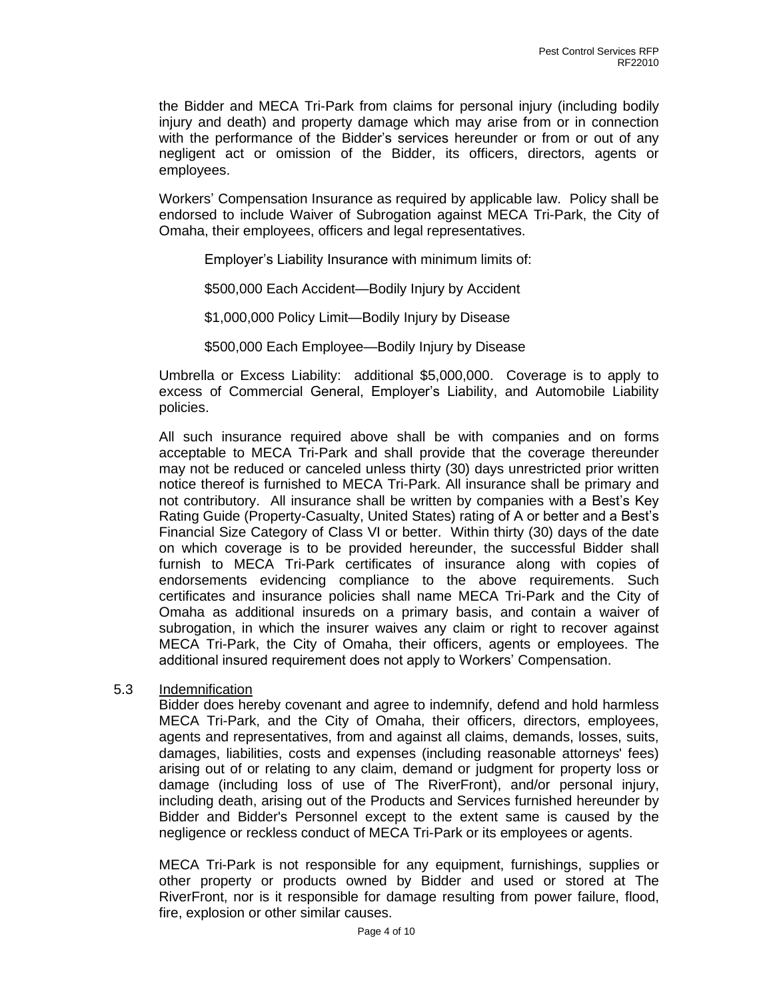the Bidder and MECA Tri-Park from claims for personal injury (including bodily injury and death) and property damage which may arise from or in connection with the performance of the Bidder's services hereunder or from or out of any negligent act or omission of the Bidder, its officers, directors, agents or employees.

Workers' Compensation Insurance as required by applicable law. Policy shall be endorsed to include Waiver of Subrogation against MECA Tri-Park, the City of Omaha, their employees, officers and legal representatives.

Employer's Liability Insurance with minimum limits of:

\$500,000 Each Accident—Bodily Injury by Accident

\$1,000,000 Policy Limit—Bodily Injury by Disease

\$500,000 Each Employee—Bodily Injury by Disease

Umbrella or Excess Liability: additional \$5,000,000. Coverage is to apply to excess of Commercial General, Employer's Liability, and Automobile Liability policies.

All such insurance required above shall be with companies and on forms acceptable to MECA Tri-Park and shall provide that the coverage thereunder may not be reduced or canceled unless thirty (30) days unrestricted prior written notice thereof is furnished to MECA Tri-Park. All insurance shall be primary and not contributory. All insurance shall be written by companies with a Best's Key Rating Guide (Property-Casualty, United States) rating of A or better and a Best's Financial Size Category of Class VI or better. Within thirty (30) days of the date on which coverage is to be provided hereunder, the successful Bidder shall furnish to MECA Tri-Park certificates of insurance along with copies of endorsements evidencing compliance to the above requirements. Such certificates and insurance policies shall name MECA Tri-Park and the City of Omaha as additional insureds on a primary basis, and contain a waiver of subrogation, in which the insurer waives any claim or right to recover against MECA Tri-Park, the City of Omaha, their officers, agents or employees. The additional insured requirement does not apply to Workers' Compensation.

5.3 Indemnification

Bidder does hereby covenant and agree to indemnify, defend and hold harmless MECA Tri-Park, and the City of Omaha, their officers, directors, employees, agents and representatives, from and against all claims, demands, losses, suits, damages, liabilities, costs and expenses (including reasonable attorneys' fees) arising out of or relating to any claim, demand or judgment for property loss or damage (including loss of use of The RiverFront), and/or personal injury, including death, arising out of the Products and Services furnished hereunder by Bidder and Bidder's Personnel except to the extent same is caused by the negligence or reckless conduct of MECA Tri-Park or its employees or agents.

MECA Tri-Park is not responsible for any equipment, furnishings, supplies or other property or products owned by Bidder and used or stored at The RiverFront, nor is it responsible for damage resulting from power failure, flood, fire, explosion or other similar causes.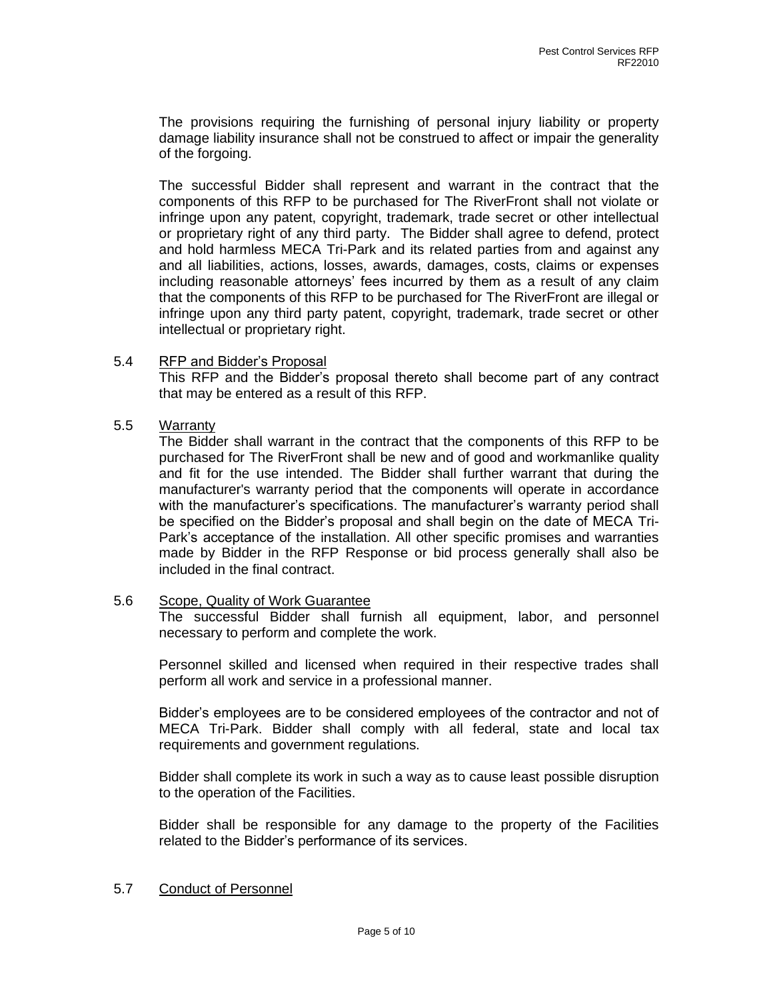The provisions requiring the furnishing of personal injury liability or property damage liability insurance shall not be construed to affect or impair the generality of the forgoing.

The successful Bidder shall represent and warrant in the contract that the components of this RFP to be purchased for The RiverFront shall not violate or infringe upon any patent, copyright, trademark, trade secret or other intellectual or proprietary right of any third party. The Bidder shall agree to defend, protect and hold harmless MECA Tri-Park and its related parties from and against any and all liabilities, actions, losses, awards, damages, costs, claims or expenses including reasonable attorneys' fees incurred by them as a result of any claim that the components of this RFP to be purchased for The RiverFront are illegal or infringe upon any third party patent, copyright, trademark, trade secret or other intellectual or proprietary right.

### 5.4 RFP and Bidder's Proposal

This RFP and the Bidder's proposal thereto shall become part of any contract that may be entered as a result of this RFP.

### 5.5 Warranty

The Bidder shall warrant in the contract that the components of this RFP to be purchased for The RiverFront shall be new and of good and workmanlike quality and fit for the use intended. The Bidder shall further warrant that during the manufacturer's warranty period that the components will operate in accordance with the manufacturer's specifications. The manufacturer's warranty period shall be specified on the Bidder's proposal and shall begin on the date of MECA Tri-Park's acceptance of the installation. All other specific promises and warranties made by Bidder in the RFP Response or bid process generally shall also be included in the final contract.

### 5.6 Scope, Quality of Work Guarantee

The successful Bidder shall furnish all equipment, labor, and personnel necessary to perform and complete the work.

Personnel skilled and licensed when required in their respective trades shall perform all work and service in a professional manner.

Bidder's employees are to be considered employees of the contractor and not of MECA Tri-Park. Bidder shall comply with all federal, state and local tax requirements and government regulations.

Bidder shall complete its work in such a way as to cause least possible disruption to the operation of the Facilities.

Bidder shall be responsible for any damage to the property of the Facilities related to the Bidder's performance of its services.

### 5.7 Conduct of Personnel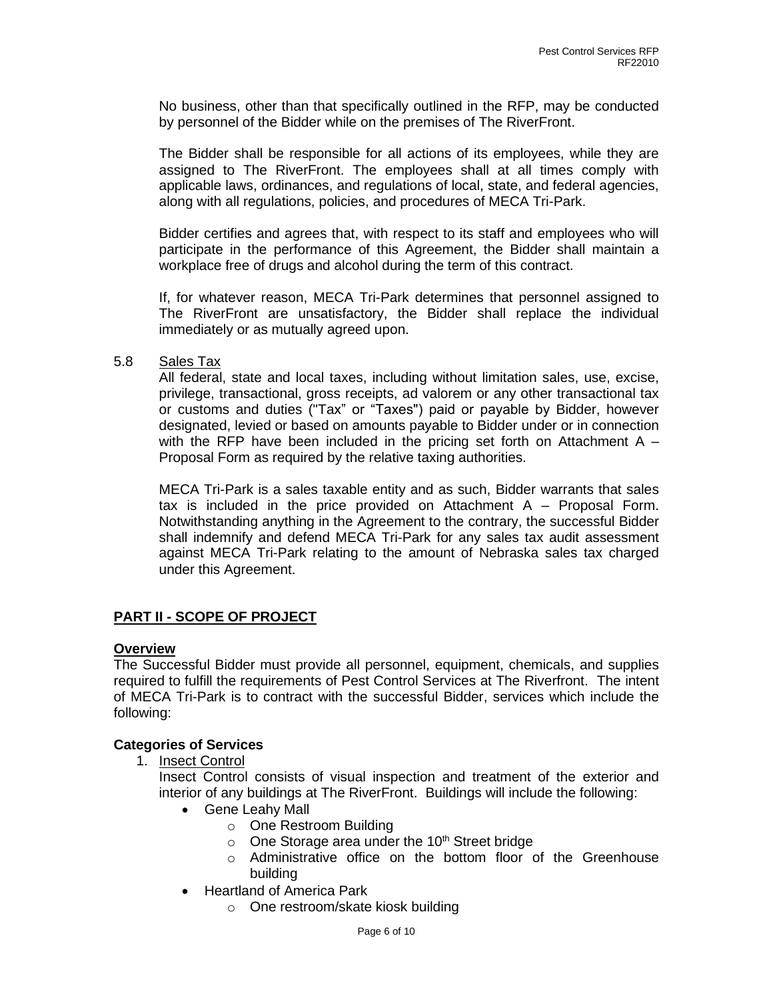No business, other than that specifically outlined in the RFP, may be conducted by personnel of the Bidder while on the premises of The RiverFront.

The Bidder shall be responsible for all actions of its employees, while they are assigned to The RiverFront. The employees shall at all times comply with applicable laws, ordinances, and regulations of local, state, and federal agencies, along with all regulations, policies, and procedures of MECA Tri-Park.

Bidder certifies and agrees that, with respect to its staff and employees who will participate in the performance of this Agreement, the Bidder shall maintain a workplace free of drugs and alcohol during the term of this contract.

If, for whatever reason, MECA Tri-Park determines that personnel assigned to The RiverFront are unsatisfactory, the Bidder shall replace the individual immediately or as mutually agreed upon.

5.8 Sales Tax

All federal, state and local taxes, including without limitation sales, use, excise, privilege, transactional, gross receipts, ad valorem or any other transactional tax or customs and duties ("Tax" or "Taxes") paid or payable by Bidder, however designated, levied or based on amounts payable to Bidder under or in connection with the RFP have been included in the pricing set forth on Attachment A  $-$ Proposal Form as required by the relative taxing authorities.

MECA Tri-Park is a sales taxable entity and as such, Bidder warrants that sales tax is included in the price provided on Attachment  $A - P$ roposal Form. Notwithstanding anything in the Agreement to the contrary, the successful Bidder shall indemnify and defend MECA Tri-Park for any sales tax audit assessment against MECA Tri-Park relating to the amount of Nebraska sales tax charged under this Agreement.

## **PART II - SCOPE OF PROJECT**

### **Overview**

The Successful Bidder must provide all personnel, equipment, chemicals, and supplies required to fulfill the requirements of Pest Control Services at The Riverfront. The intent of MECA Tri-Park is to contract with the successful Bidder, services which include the following:

## **Categories of Services**

1. Insect Control

Insect Control consists of visual inspection and treatment of the exterior and interior of any buildings at The RiverFront. Buildings will include the following:

- Gene Leahy Mall
	- o One Restroom Building
	- $\circ$  One Storage area under the 10<sup>th</sup> Street bridge
	- o Administrative office on the bottom floor of the Greenhouse building
- Heartland of America Park
	- o One restroom/skate kiosk building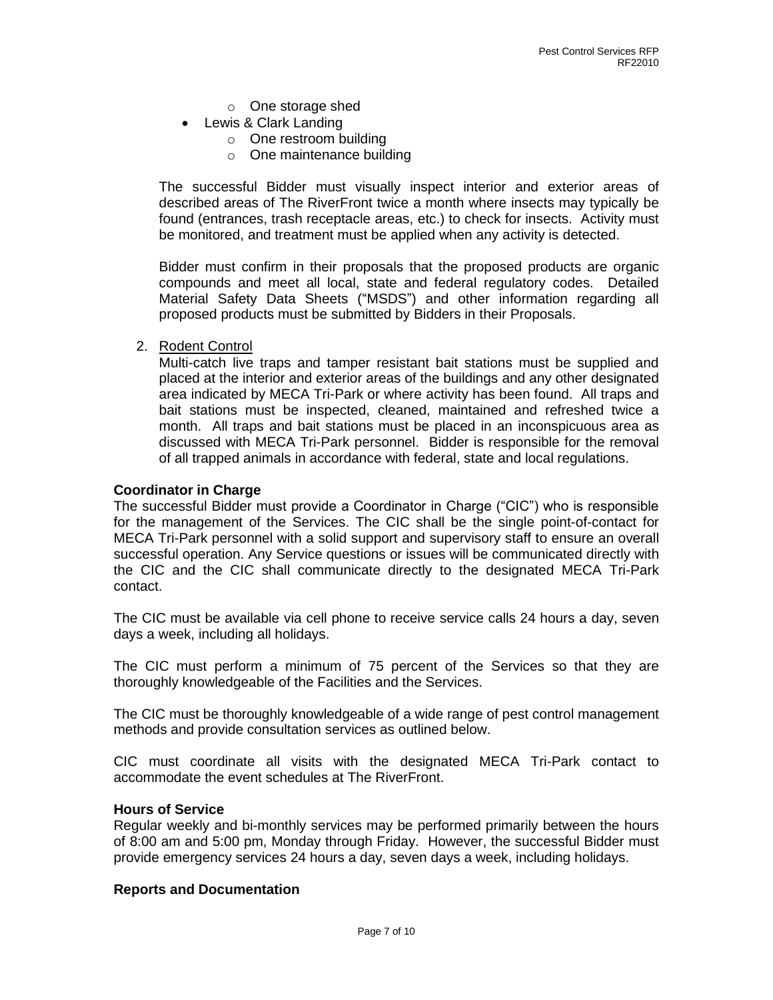- o One storage shed
- Lewis & Clark Landing
	- o One restroom building
	- o One maintenance building

The successful Bidder must visually inspect interior and exterior areas of described areas of The RiverFront twice a month where insects may typically be found (entrances, trash receptacle areas, etc.) to check for insects. Activity must be monitored, and treatment must be applied when any activity is detected.

Bidder must confirm in their proposals that the proposed products are organic compounds and meet all local, state and federal regulatory codes. Detailed Material Safety Data Sheets ("MSDS") and other information regarding all proposed products must be submitted by Bidders in their Proposals.

2. Rodent Control

Multi-catch live traps and tamper resistant bait stations must be supplied and placed at the interior and exterior areas of the buildings and any other designated area indicated by MECA Tri-Park or where activity has been found. All traps and bait stations must be inspected, cleaned, maintained and refreshed twice a month. All traps and bait stations must be placed in an inconspicuous area as discussed with MECA Tri-Park personnel. Bidder is responsible for the removal of all trapped animals in accordance with federal, state and local regulations.

### **Coordinator in Charge**

The successful Bidder must provide a Coordinator in Charge ("CIC") who is responsible for the management of the Services. The CIC shall be the single point-of-contact for MECA Tri-Park personnel with a solid support and supervisory staff to ensure an overall successful operation. Any Service questions or issues will be communicated directly with the CIC and the CIC shall communicate directly to the designated MECA Tri-Park contact.

The CIC must be available via cell phone to receive service calls 24 hours a day, seven days a week, including all holidays.

The CIC must perform a minimum of 75 percent of the Services so that they are thoroughly knowledgeable of the Facilities and the Services.

The CIC must be thoroughly knowledgeable of a wide range of pest control management methods and provide consultation services as outlined below.

CIC must coordinate all visits with the designated MECA Tri-Park contact to accommodate the event schedules at The RiverFront.

### **Hours of Service**

Regular weekly and bi-monthly services may be performed primarily between the hours of 8:00 am and 5:00 pm, Monday through Friday. However, the successful Bidder must provide emergency services 24 hours a day, seven days a week, including holidays.

### **Reports and Documentation**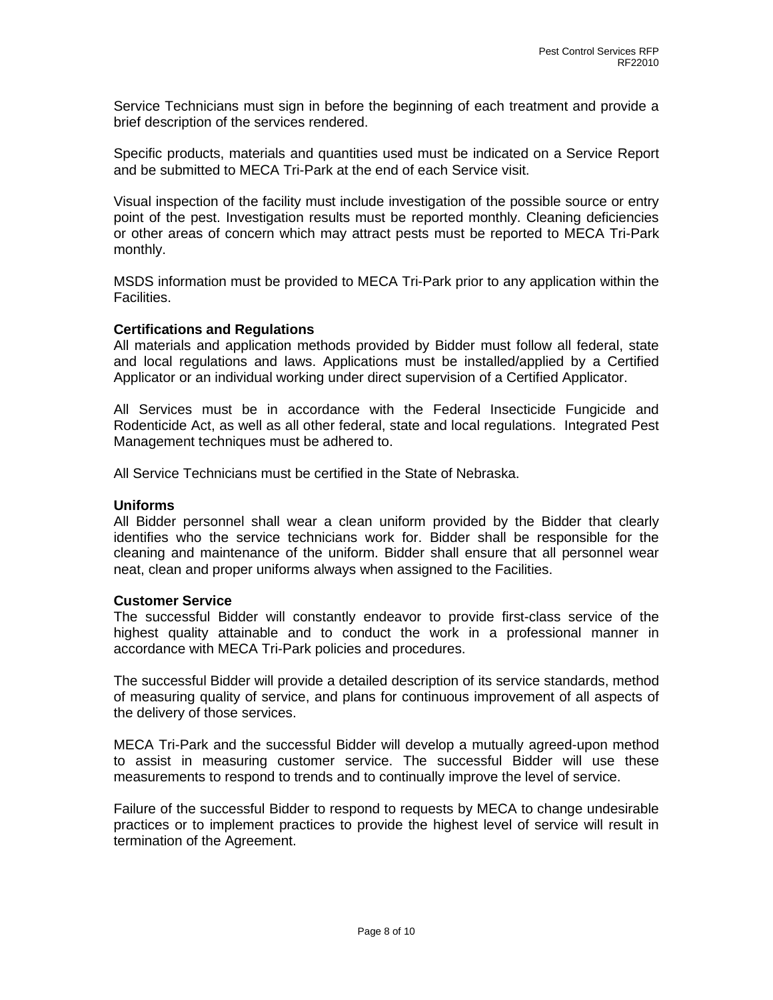Service Technicians must sign in before the beginning of each treatment and provide a brief description of the services rendered.

Specific products, materials and quantities used must be indicated on a Service Report and be submitted to MECA Tri-Park at the end of each Service visit.

Visual inspection of the facility must include investigation of the possible source or entry point of the pest. Investigation results must be reported monthly. Cleaning deficiencies or other areas of concern which may attract pests must be reported to MECA Tri-Park monthly.

MSDS information must be provided to MECA Tri-Park prior to any application within the Facilities.

### **Certifications and Regulations**

All materials and application methods provided by Bidder must follow all federal, state and local regulations and laws. Applications must be installed/applied by a Certified Applicator or an individual working under direct supervision of a Certified Applicator.

All Services must be in accordance with the Federal Insecticide Fungicide and Rodenticide Act, as well as all other federal, state and local regulations. Integrated Pest Management techniques must be adhered to.

All Service Technicians must be certified in the State of Nebraska.

### **Uniforms**

All Bidder personnel shall wear a clean uniform provided by the Bidder that clearly identifies who the service technicians work for. Bidder shall be responsible for the cleaning and maintenance of the uniform. Bidder shall ensure that all personnel wear neat, clean and proper uniforms always when assigned to the Facilities.

### **Customer Service**

The successful Bidder will constantly endeavor to provide first-class service of the highest quality attainable and to conduct the work in a professional manner in accordance with MECA Tri-Park policies and procedures.

The successful Bidder will provide a detailed description of its service standards, method of measuring quality of service, and plans for continuous improvement of all aspects of the delivery of those services.

MECA Tri-Park and the successful Bidder will develop a mutually agreed-upon method to assist in measuring customer service. The successful Bidder will use these measurements to respond to trends and to continually improve the level of service.

Failure of the successful Bidder to respond to requests by MECA to change undesirable practices or to implement practices to provide the highest level of service will result in termination of the Agreement.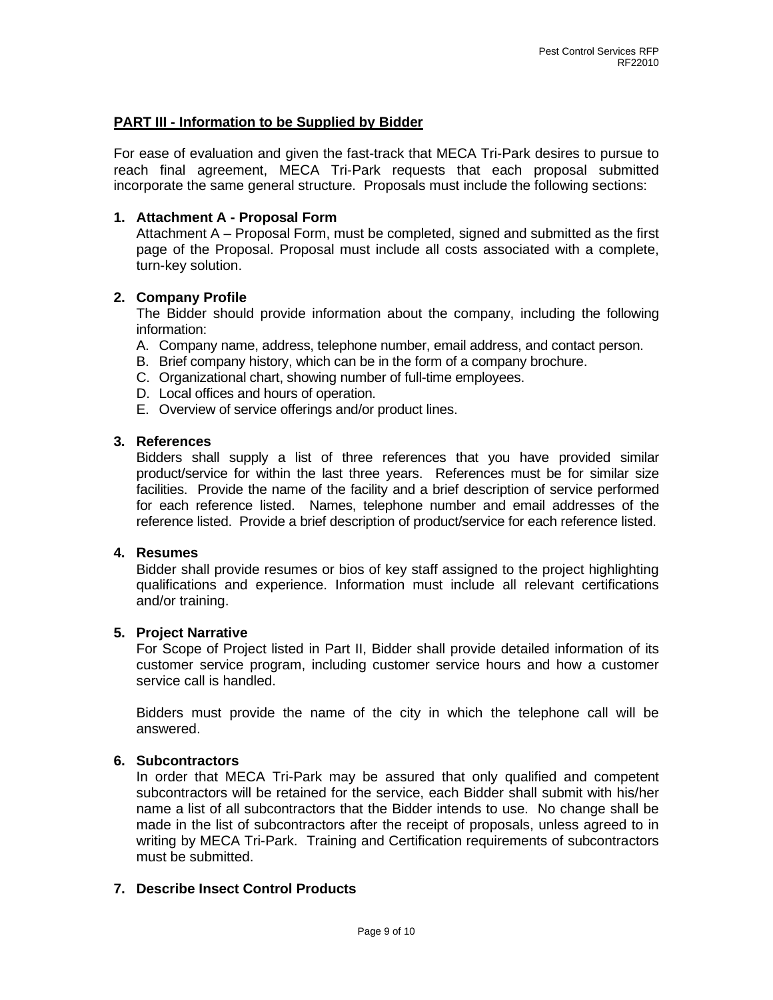## **PART III - Information to be Supplied by Bidder**

For ease of evaluation and given the fast-track that MECA Tri-Park desires to pursue to reach final agreement, MECA Tri-Park requests that each proposal submitted incorporate the same general structure. Proposals must include the following sections:

## **1. Attachment A - Proposal Form**

Attachment A – Proposal Form, must be completed, signed and submitted as the first page of the Proposal. Proposal must include all costs associated with a complete, turn-key solution.

### **2. Company Profile**

The Bidder should provide information about the company, including the following information:

- A. Company name, address, telephone number, email address, and contact person.
- B. Brief company history, which can be in the form of a company brochure.
- C. Organizational chart, showing number of full-time employees.
- D. Local offices and hours of operation.
- E. Overview of service offerings and/or product lines.

### **3. References**

Bidders shall supply a list of three references that you have provided similar product/service for within the last three years. References must be for similar size facilities. Provide the name of the facility and a brief description of service performed for each reference listed. Names, telephone number and email addresses of the reference listed. Provide a brief description of product/service for each reference listed.

### **4. Resumes**

Bidder shall provide resumes or bios of key staff assigned to the project highlighting qualifications and experience. Information must include all relevant certifications and/or training.

### **5. Project Narrative**

For Scope of Project listed in Part II, Bidder shall provide detailed information of its customer service program, including customer service hours and how a customer service call is handled.

Bidders must provide the name of the city in which the telephone call will be answered.

## **6. Subcontractors**

In order that MECA Tri-Park may be assured that only qualified and competent subcontractors will be retained for the service, each Bidder shall submit with his/her name a list of all subcontractors that the Bidder intends to use. No change shall be made in the list of subcontractors after the receipt of proposals, unless agreed to in writing by MECA Tri-Park. Training and Certification requirements of subcontractors must be submitted.

## **7. Describe Insect Control Products**